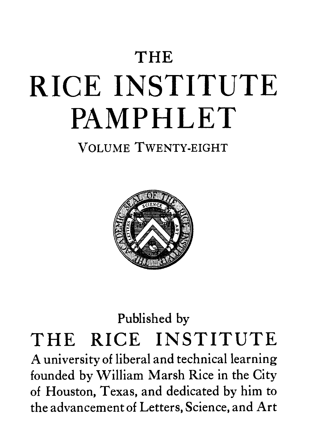# **THE** RICE INSTITUTE PAMPHLET

### VOLUME TWENTY-EIGHT



## Published by THE RICE INSTITUTE

A university of liberal and technical learning founded by William Marsh Rice in the City of Houston, Texas, and dedicated by him to the advancement of Letters, Science, and Art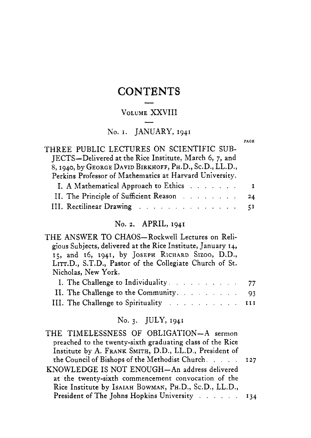## CONTENTS TEN<br>--

## VOLUME XXVIII —<br>E XX<br>—

#### No. I. JANUARY, 1941

**PACE** 

| THREE PUBLIC LECTURES ON SCIENTIFIC SUB-<br>JECTS-Delivered at the Rice Institute, March 6, 7, and<br>8, 1940, by GEORGE DAVID BIRKHOFF, PH.D., Sc.D., LL.D., |  |
|---------------------------------------------------------------------------------------------------------------------------------------------------------------|--|
| Perkins Professor of Mathematics at Harvard University.                                                                                                       |  |
| I. A Mathematical Approach to Ethics I                                                                                                                        |  |
| II. The Principle of Sufficient Reason 24                                                                                                                     |  |
| III. Rectilinear Drawing 51                                                                                                                                   |  |

#### No. *2.* APRIL, 1941

| THE ANSWER TO CHAOS-Rockwell Lectures on Reli-               |  |
|--------------------------------------------------------------|--|
| gious Subjects, delivered at the Rice Institute, January 14, |  |
| 15, and 16, 1941, by JOSEPH RICHARD SIZOO, D.D.,             |  |
| LITT.D., S.T.D., Pastor of the Collegiate Church of St.      |  |
| Nicholas, New York.                                          |  |
| I. The Challenge to Individuality. 77                        |  |
| II. The Challenge to the Community. 93                       |  |
| III. The Challenge to Spirituality III                       |  |

#### No. 3. JULY, 1941

| THE TIMELESSNESS OF OBLIGATION-A sermon                   |  |
|-----------------------------------------------------------|--|
| preached to the twenty-sixth graduating class of the Rice |  |
| Institute by A. FRANK SMITH, D.D., LL.D., President of    |  |
| the Council of Bishops of the Methodist Church. 127       |  |
| KNOWLEDGE IS NOT ENOUGH-An address delivered              |  |
| at the twenty-sixth commencement convocation of the       |  |
| Rice Institute by IsAIAH BOWMAN, PH.D., Sc.D., LL.D.,     |  |
| President of The Johns Hopkins University 134             |  |